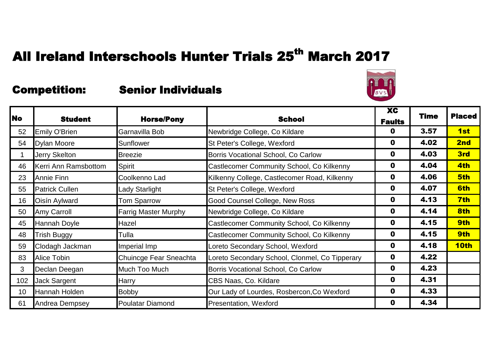

|                 | <b>Student</b>        | <b>Horse/Pony</b>           |                                                | XC            | <b>Time</b> | <b>Placed</b> |
|-----------------|-----------------------|-----------------------------|------------------------------------------------|---------------|-------------|---------------|
| <b>No</b>       |                       |                             | <b>School</b>                                  | <b>Faults</b> |             |               |
| 52              | <b>Emily O'Brien</b>  | Garnavilla Bob              | Newbridge College, Co Kildare                  | 0             | 3.57        | 1st           |
| 54              | <b>Dylan Moore</b>    | Sunflower                   | St Peter's College, Wexford                    | $\mathbf 0$   | 4.02        | 2nd           |
|                 | <b>Jerry Skelton</b>  | <b>Breezie</b>              | Borris Vocational School, Co Carlow            | 0             | 4.03        | 3rd           |
| 46              | Kerri Ann Ramsbottom  | Spirit                      | Castlecomer Community School, Co Kilkenny      | $\mathbf 0$   | 4.04        | 4th           |
| 23              | <b>Annie Finn</b>     | Coolkenno Lad               | Kilkenny College, Castlecomer Road, Kilkenny   | $\mathbf 0$   | 4.06        | 5th           |
| 55              | <b>Patrick Cullen</b> | <b>Lady Starlight</b>       | St Peter's College, Wexford                    | $\mathbf 0$   | 4.07        | 6th           |
| 16              | Oisín Aylward         | <b>Tom Sparrow</b>          | Good Counsel College, New Ross                 | $\mathbf 0$   | 4.13        | 7th           |
| 50              | <b>Amy Carroll</b>    | <b>Farrig Master Murphy</b> | Newbridge College, Co Kildare                  | $\mathbf 0$   | 4.14        | 8th           |
| 45              | Hannah Doyle          | Hazel                       | Castlecomer Community School, Co Kilkenny      | $\mathbf 0$   | 4.15        | 9th           |
| 48              | <b>Trish Buggy</b>    | Tulla                       | Castlecomer Community School, Co Kilkenny      | $\mathbf 0$   | 4.15        | 9th           |
| 59              | Clodagh Jackman       | Imperial Imp                | Loreto Secondary School, Wexford               | $\mathbf 0$   | 4.18        | 10th          |
| 83              | <b>Alice Tobin</b>    | Chuincge Fear Sneachta      | Loreto Secondary School, Clonmel, Co Tipperary | $\mathbf 0$   | 4.22        |               |
| 3               | Declan Deegan         | Much Too Much               | Borris Vocational School, Co Carlow            | $\mathbf 0$   | 4.23        |               |
| 102             | Jack Sargent          | <b>Harry</b>                | CBS Naas, Co. Kildare                          | $\mathbf 0$   | 4.31        |               |
| 10 <sup>°</sup> | Hannah Holden         | <b>Bobby</b>                | Our Lady of Lourdes, Rosbercon, Co Wexford     | $\mathbf 0$   | 4.33        |               |
| 61              | Andrea Dempsey        | <b>Poulatar Diamond</b>     | Presentation, Wexford                          | $\mathbf 0$   | 4.34        |               |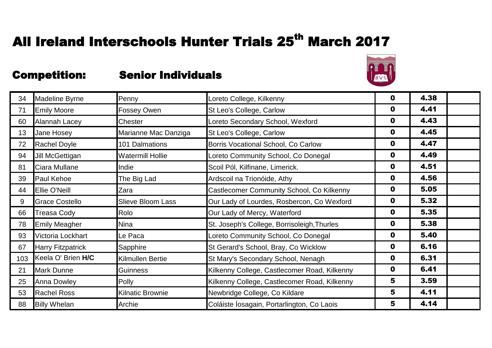

| 34  | <b>Madeline Byrne</b>    | Penny                    | Loreto College, Kilkenny                     | 0           | 4.38 |  |
|-----|--------------------------|--------------------------|----------------------------------------------|-------------|------|--|
| 71  | <b>Emily Moore</b>       | Fossey Owen              | St Leo's College, Carlow                     | 0           | 4.41 |  |
| 60  | Alannah Lacey            | Chester                  | Loreto Secondary School, Wexford             | 0           | 4.43 |  |
| 13  | Jane Hosey               | Marianne Mac Danziga     | St Leo's College, Carlow                     | 0           | 4.45 |  |
| 72  | <b>Rachel Doyle</b>      | 101 Dalmations           | Borris Vocational School, Co Carlow          | 0           | 4.47 |  |
| 94  | Jill McGettigan          | <b>Watermill Hollie</b>  | Loreto Community School, Co Donegal          | 0           | 4.49 |  |
| 81  | Ciara Mullane            | Indie                    | Scoil Pól, Kilfinane, Limerick.              | 0           | 4.51 |  |
| 39  | <b>Paul Kehoe</b>        | The Big Lad              | Ardscoil na Trionóide, Athy                  | 0           | 4.56 |  |
| 44  | <b>Ellie O'Neill</b>     | Zara                     | Castlecomer Community School, Co Kilkenny    | 0           | 5.05 |  |
| 9   | <b>Grace Costello</b>    | <b>Slieve Bloom Lass</b> | Our Lady of Lourdes, Rosbercon, Co Wexford   | 0           | 5.32 |  |
| 66  | <b>Treasa Cody</b>       | Rolo                     | Our Lady of Mercy, Waterford                 | 0           | 5.35 |  |
| 78  | <b>Emily Meagher</b>     | Nina                     | St. Joseph's College, Borrisoleigh, Thurles  | 0           | 5.38 |  |
| 93  | Victoria Lockhart        | Le Paca                  | Loreto Community School, Co Donegal          | $\mathbf 0$ | 5.40 |  |
| 67  | <b>Harry Fitzpatrick</b> | Sapphire                 | St Gerard's School, Bray, Co Wicklow         | $\mathbf 0$ | 6.16 |  |
| 103 | Keela O' Brien H/C       | Kilmullen Bertie         | St Mary's Secondary School, Nenagh           | $\mathbf 0$ | 6.31 |  |
| 21  | <b>Mark Dunne</b>        | Guinness                 | Kilkenny College, Castlecomer Road, Kilkenny | $\mathbf 0$ | 6.41 |  |
| 25  | <b>Anna Dowley</b>       | <b>Polly</b>             | Kilkenny College, Castlecomer Road, Kilkenny | 5           | 3.59 |  |
| 53  | <b>Rachel Ross</b>       | <b>Kilnatic Brownie</b>  | Newbridge College, Co Kildare                | 5           | 4.11 |  |
| 88  | <b>Billy Whelan</b>      | Archie                   | Coláiste Iosagain, Portarlington, Co Laois   | 5           | 4.14 |  |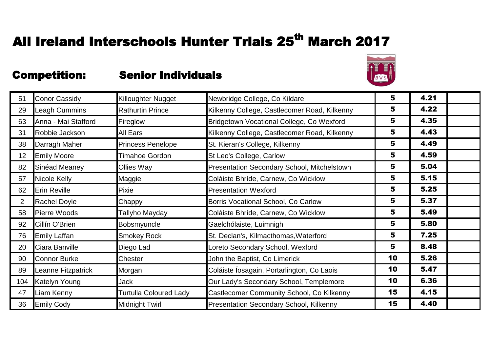

| 51             | <b>Conor Cassidy</b> | Killoughter Nugget            | Newbridge College, Co Kildare                  | 5                       | 4.21 |  |
|----------------|----------------------|-------------------------------|------------------------------------------------|-------------------------|------|--|
| 29             | Leagh Cummins        | <b>Rathurtin Prince</b>       | Kilkenny College, Castlecomer Road, Kilkenny   | 5                       | 4.22 |  |
| 63             | Anna - Mai Stafford  | Fireglow                      | Bridgetown Vocational College, Co Wexford      | 5                       | 4.35 |  |
| 31             | Robbie Jackson       | <b>All Ears</b>               | Kilkenny College, Castlecomer Road, Kilkenny   | 5                       | 4.43 |  |
| 38             | Darragh Maher        | <b>Princess Penelope</b>      | St. Kieran's College, Kilkenny                 | 5                       | 4.49 |  |
| 12             | <b>Emily Moore</b>   | <b>Timahoe Gordon</b>         | St Leo's College, Carlow                       | 5                       | 4.59 |  |
| 82             | Sinéad Meaney        | <b>Ollies Way</b>             | Presentation Secondary School, Mitchelstown    | 5                       | 5.04 |  |
| 57             | Nicole Kelly         | Maggie                        | Coláiste Bhríde, Carnew, Co Wicklow            | 5                       | 5.15 |  |
| 62             | <b>Erin Reville</b>  | Pixie                         | <b>Presentation Wexford</b>                    | 5                       | 5.25 |  |
| $\overline{2}$ | <b>Rachel Doyle</b>  | Chappy                        | Borris Vocational School, Co Carlow            | 5                       | 5.37 |  |
| 58             | <b>Pierre Woods</b>  | Tallyho Mayday                | Coláiste Bhríde, Carnew, Co Wicklow            | 5                       | 5.49 |  |
| 92             | Cillín O'Brien       | Bobsmyuncle                   | Gaelchólaiste, Luimnigh                        | 5                       | 5.80 |  |
| 76             | <b>Emily Laffan</b>  | <b>Smokey Rock</b>            | St. Declan's, Kilmacthomas, Waterford          | 5                       | 7.25 |  |
| 20             | Ciara Banville       | Diego Lad                     | Loreto Secondary School, Wexford               | $\overline{\mathbf{5}}$ | 8.48 |  |
| 90             | <b>Connor Burke</b>  | Chester                       | John the Baptist, Co Limerick                  | 10                      | 5.26 |  |
| 89             | Leanne Fitzpatrick   | Morgan                        | Coláiste Íosagain, Portarlington, Co Laois     | 10                      | 5.47 |  |
| 104            | <b>Katelyn Young</b> | <b>Jack</b>                   | Our Lady's Secondary School, Templemore        | 10                      | 6.36 |  |
| 47             | Liam Kenny           | <b>Turtulla Coloured Lady</b> | Castlecomer Community School, Co Kilkenny      | 15                      | 4.15 |  |
| 36             | <b>Emily Cody</b>    | <b>Midnight Twirl</b>         | <b>Presentation Secondary School, Kilkenny</b> | 15                      | 4.40 |  |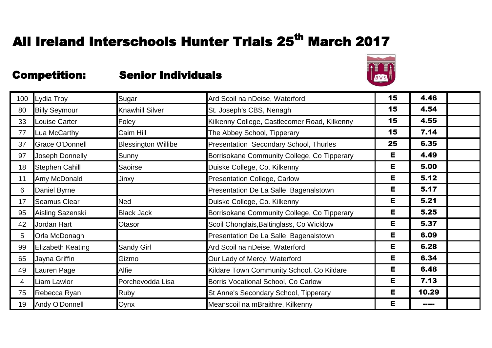

| 100            | Lydia Troy               | Sugar                      | Ard Scoil na nDeise, Waterford               | 15 | 4.46  |  |
|----------------|--------------------------|----------------------------|----------------------------------------------|----|-------|--|
| 80             | <b>Billy Seymour</b>     | <b>Knawhill Silver</b>     | St. Joseph's CBS, Nenagh                     | 15 | 4.54  |  |
| 33             | <b>Louise Carter</b>     | Foley                      | Kilkenny College, Castlecomer Road, Kilkenny | 15 | 4.55  |  |
| 77             | Lua McCarthy             | Caim Hill                  | The Abbey School, Tipperary                  | 15 | 7.14  |  |
| 37             | <b>Grace O'Donnell</b>   | <b>Blessington Willibe</b> | Presentation Secondary School, Thurles       | 25 | 6.35  |  |
| 97             | Joseph Donnelly          | Sunny                      | Borrisokane Community College, Co Tipperary  | Е  | 4.49  |  |
| 18             | <b>Stephen Cahill</b>    | <b>Saoirse</b>             | Duiske College, Co. Kilkenny                 | Е  | 5.00  |  |
| 11             | Amy McDonald             | Jinxy                      | <b>Presentation College, Carlow</b>          | Е  | 5.12  |  |
| 6              | Daniel Byrne             |                            | Presentation De La Salle, Bagenalstown       | Е  | 5.17  |  |
| 17             | <b>Seamus Clear</b>      | <b>Ned</b>                 | Duiske College, Co. Kilkenny                 | Е  | 5.21  |  |
| 95             | Aisling Sazenski         | <b>Black Jack</b>          | Borrisokane Community College, Co Tipperary  | Е  | 5.25  |  |
| 42             | Jordan Hart              | Otasor                     | Scoil Chonglais, Baltinglass, Co Wicklow     | Е  | 5.37  |  |
| 5              | Orla McDonagh            |                            | Presentation De La Salle, Bagenalstown       | Е  | 6.09  |  |
| 99             | <b>Elizabeth Keating</b> | <b>Sandy Girl</b>          | Ard Scoil na nDeise, Waterford               | Е  | 6.28  |  |
| 65             | Jayna Griffin            | Gizmo                      | Our Lady of Mercy, Waterford                 | Е  | 6.34  |  |
| 49             | Lauren Page              | Alfie                      | Kildare Town Community School, Co Kildare    | Е  | 6.48  |  |
| $\overline{4}$ | Liam Lawlor              | Porchevodda Lisa           | Borris Vocational School, Co Carlow          | Е  | 7.13  |  |
| 75             | Rebecca Ryan             | <b>Ruby</b>                | St Anne's Secondary School, Tipperary        | Е  | 10.29 |  |
| 19             | Andy O'Donnell           | Oynx                       | Meanscoil na mBraithre, Kilkenny             | Е  | ----- |  |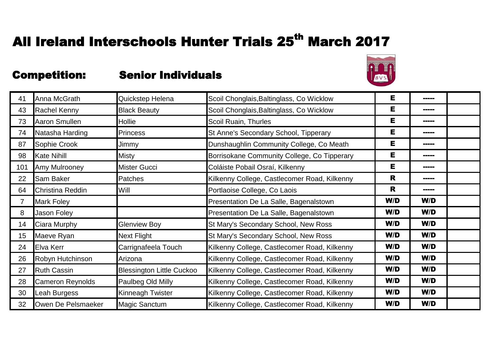

| 41              | Anna McGrath            | Quickstep Helena                 | Scoil Chonglais, Baltinglass, Co Wicklow     | Е   | -----       |  |
|-----------------|-------------------------|----------------------------------|----------------------------------------------|-----|-------------|--|
| 43              | <b>Rachel Kenny</b>     | <b>Black Beauty</b>              | Scoil Chonglais, Baltinglass, Co Wicklow     | Е   | -----       |  |
| 73              | Aaron Smullen           | Hollie                           | Scoil Ruain, Thurles                         | Е   | -----       |  |
| 74              | Natasha Harding         | <b>Princess</b>                  | St Anne's Secondary School, Tipperary        | Е   | <b>HEER</b> |  |
| 87              | Sophie Crook            | Jimmy                            | Dunshaughlin Community College, Co Meath     | Е   | -----       |  |
| 98              | <b>Kate Nihill</b>      | <b>Misty</b>                     | Borrisokane Community College, Co Tipperary  | Е   | -----       |  |
| 101             | Amy Mulrooney           | <b>Mister Gucci</b>              | Coláiste Pobail Osraí, Kilkenny              | Е   | -----       |  |
| 22              | <b>Sam Baker</b>        | <b>Patches</b>                   | Kilkenny College, Castlecomer Road, Kilkenny | R   | -----       |  |
| 64              | Christina Reddin        | Will                             | Portlaoise College, Co Laois                 | R   | -----       |  |
| $\overline{7}$  | <b>Mark Foley</b>       |                                  | Presentation De La Salle, Bagenalstown       | W/D | W/D         |  |
| 8               | Jason Foley             |                                  | Presentation De La Salle, Bagenalstown       | W/D | W/D         |  |
| 14              | Ciara Murphy            | <b>Glenview Boy</b>              | St Mary's Secondary School, New Ross         | W/D | W/D         |  |
| 15 <sub>1</sub> | Maeve Ryan              | <b>Next Flight</b>               | St Mary's Secondary School, New Ross         | W/D | W/D         |  |
| 24              | <b>Elva Kerr</b>        | Carrignafeela Touch              | Kilkenny College, Castlecomer Road, Kilkenny | W/D | W/D         |  |
| 26              | Robyn Hutchinson        | Arizona                          | Kilkenny College, Castlecomer Road, Kilkenny | W/D | W/D         |  |
| 27              | <b>Ruth Cassin</b>      | <b>Blessington Little Cuckoo</b> | Kilkenny College, Castlecomer Road, Kilkenny | W/D | W/D         |  |
| 28              | <b>Cameron Reynolds</b> | Paulbeg Old Milly                | Kilkenny College, Castlecomer Road, Kilkenny | W/D | W/D         |  |
| 30              | Leah Burgess            | Kinneagh Twister                 | Kilkenny College, Castlecomer Road, Kilkenny | W/D | W/D         |  |
| 32              | Owen De Pelsmaeker      | <b>Magic Sanctum</b>             | Kilkenny College, Castlecomer Road, Kilkenny | W/D | W/D         |  |